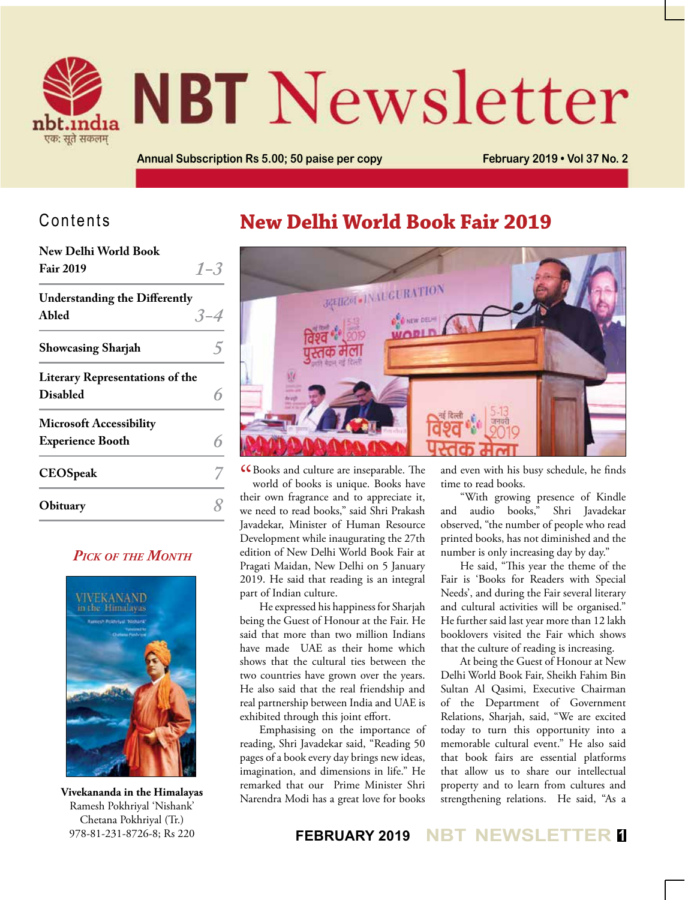

# **NBT** Newsletter

**Annual Subscription Rs 5.00; 50 paise per copy February 2019 • Vol 37 No. 2**

#### Contents

| New Delhi World Book                   |         |
|----------------------------------------|---------|
| <b>Fair 2019</b>                       | $1 - 3$ |
| <b>Understanding the Differently</b>   |         |
| Abled                                  | $3 - 4$ |
| <b>Showcasing Sharjah</b>              |         |
| <b>Literary Representations of the</b> |         |
| <b>Disabled</b>                        |         |
| <b>Microsoft Accessibility</b>         |         |
| <b>Experience Booth</b>                |         |
| <b>CEOSpeak</b>                        |         |
| Obituary                               |         |
|                                        |         |

#### *Pick of the Month*



Ramesh Pokhriyal 'Nishank' Chetana Pokhriyal (Tr.) 978-81-231-8726-8; Rs 220

# **New Delhi World Book Fair 2019**



CC Books and culture are inseparable. The world of books is unique. Books have world of books is unique. Books have their own fragrance and to appreciate it, we need to read books," said Shri Prakash Javadekar, Minister of Human Resource Development while inaugurating the 27th edition of New Delhi World Book Fair at Pragati Maidan, New Delhi on 5 January 2019. He said that reading is an integral part of Indian culture.

He expressed his happiness for Sharjah being the Guest of Honour at the Fair. He said that more than two million Indians have made UAE as their home which shows that the cultural ties between the two countries have grown over the years. He also said that the real friendship and real partnership between India and UAE is exhibited through this joint effort.

Emphasising on the importance of reading, Shri Javadekar said, "Reading 50 pages of a book every day brings new ideas, imagination, and dimensions in life." He remarked that our Prime Minister Shri and even with his busy schedule, he finds time to read books.

"With growing presence of Kindle and audio books," Shri Javadekar observed, "the number of people who read printed books, has not diminished and the number is only increasing day by day."

He said, "This year the theme of the Fair is 'Books for Readers with Special Needs', and during the Fair several literary and cultural activities will be organised." He further said last year more than 12 lakh booklovers visited the Fair which shows that the culture of reading is increasing.

Narendra Modi has a great love for books strengthening relations. He said, "As a **Vivekananda in the Himalayas** At being the Guest of Honour at New Delhi World Book Fair, Sheikh Fahim Bin Sultan Al Qasimi, Executive Chairman of the Department of Government Relations, Sharjah, said, "We are excited today to turn this opportunity into a memorable cultural event." He also said that book fairs are essential platforms that allow us to share our intellectual property and to learn from cultures and

**FEBRUARY 2019 NBT NEWSLETTER <sup>1</sup>**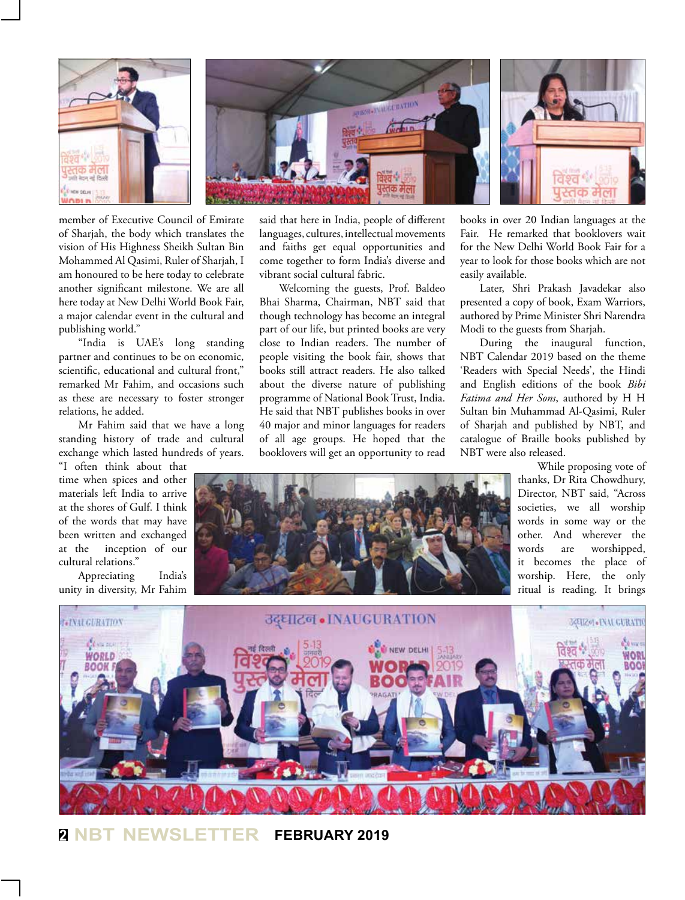

member of Executive Council of Emirate of Sharjah, the body which translates the vision of His Highness Sheikh Sultan Bin Mohammed Al Qasimi, Ruler of Sharjah, I am honoured to be here today to celebrate another significant milestone. We are all here today at New Delhi World Book Fair, a major calendar event in the cultural and publishing world."

"India is UAE's long standing partner and continues to be on economic, scientific, educational and cultural front," remarked Mr Fahim, and occasions such as these are necessary to foster stronger relations, he added.

Mr Fahim said that we have a long standing history of trade and cultural exchange which lasted hundreds of years. "I often think about that

time when spices and other materials left India to arrive at the shores of Gulf. I think of the words that may have been written and exchanged at the inception of our cultural relations."

Appreciating India's unity in diversity, Mr Fahim said that here in India, people of different languages, cultures, intellectual movements and faiths get equal opportunities and come together to form India's diverse and vibrant social cultural fabric.

Welcoming the guests, Prof. Baldeo Bhai Sharma, Chairman, NBT said that though technology has become an integral part of our life, but printed books are very close to Indian readers. The number of people visiting the book fair, shows that books still attract readers. He also talked about the diverse nature of publishing programme of National Book Trust, India. He said that NBT publishes books in over 40 major and minor languages for readers of all age groups. He hoped that the booklovers will get an opportunity to read

books in over 20 Indian languages at the Fair. He remarked that booklovers wait for the New Delhi World Book Fair for a year to look for those books which are not easily available.

Later, Shri Prakash Javadekar also presented a copy of book, Exam Warriors, authored by Prime Minister Shri Narendra Modi to the guests from Sharjah.

During the inaugural function, NBT Calendar 2019 based on the theme 'Readers with Special Needs', the Hindi and English editions of the book *Bibi Fatima and Her Sons*, authored by H H Sultan bin Muhammad Al-Qasimi, Ruler of Sharjah and published by NBT, and catalogue of Braille books published by NBT were also released.

> While proposing vote of thanks, Dr Rita Chowdhury, Director, NBT said, "Across societies, we all worship words in some way or the other. And wherever the words are worshipped, it becomes the place of worship. Here, the only ritual is reading. It brings





**<sup>2</sup> NBT NEWSLETTER FEBRUARY 2019**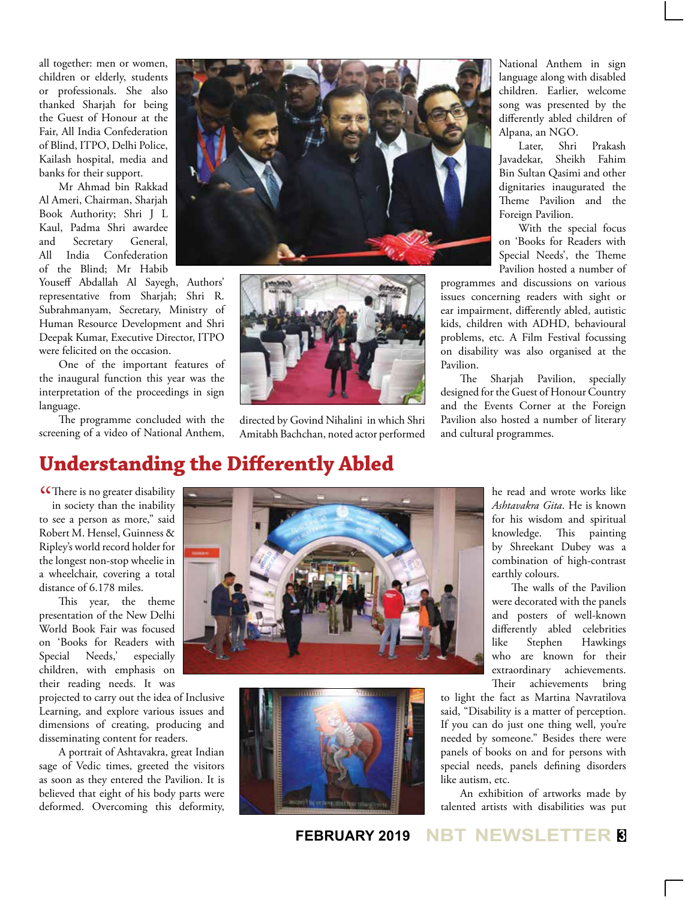all together: men or women, children or elderly, students or professionals. She also thanked Sharjah for being the Guest of Honour at the Fair, All India Confederation of Blind, ITPO, Delhi Police, Kailash hospital, media and banks for their support.

Mr Ahmad bin Rakkad Al Ameri, Chairman, Sharjah Book Authority; Shri J L Kaul, Padma Shri awardee and Secretary General, All India Confederation of the Blind; Mr Habib

Youseff Abdallah Al Sayegh, Authors' representative from Sharjah; Shri R. Subrahmanyam, Secretary, Ministry of Human Resource Development and Shri Deepak Kumar, Executive Director, ITPO were felicited on the occasion.

One of the important features of the inaugural function this year was the interpretation of the proceedings in sign language.

The programme concluded with the screening of a video of National Anthem,





directed by Govind Nihalini in which Shri Amitabh Bachchan, noted actor performed National Anthem in sign language along with disabled children. Earlier, welcome song was presented by the differently abled children of Alpana, an NGO.

Later, Shri Prakash Javadekar, Sheikh Fahim Bin Sultan Qasimi and other dignitaries inaugurated the Theme Pavilion and the Foreign Pavilion.

With the special focus on 'Books for Readers with Special Needs', the Theme Pavilion hosted a number of

programmes and discussions on various issues concerning readers with sight or ear impairment, differently abled, autistic kids, children with ADHD, behavioural problems, etc. A Film Festival focussing on disability was also organised at the Pavilion.

The Sharjah Pavilion, specially designed for the Guest of Honour Country and the Events Corner at the Foreign Pavilion also hosted a number of literary and cultural programmes.

## **Understanding the Differently Abled**

**CC** There is no greater disability<br>in society than the inability in society than the inability to see a person as more," said Robert M. Hensel, Guinness & Ripley's world record holder for the longest non-stop wheelie in a wheelchair, covering a total distance of 6.178 miles.

This year, the theme presentation of the New Delhi World Book Fair was focused on 'Books for Readers with Special Needs,' especially children, with emphasis on their reading needs. It was

projected to carry out the idea of Inclusive Learning, and explore various issues and dimensions of creating, producing and disseminating content for readers.

A portrait of Ashtavakra, great Indian sage of Vedic times, greeted the visitors as soon as they entered the Pavilion. It is believed that eight of his body parts were deformed. Overcoming this deformity,





he read and wrote works like *Ashtavakra Gita*. He is known for his wisdom and spiritual knowledge. This painting by Shreekant Dubey was a combination of high-contrast earthly colours.

The walls of the Pavilion were decorated with the panels and posters of well-known differently abled celebrities like Stephen Hawkings who are known for their extraordinary achievements. Their achievements bring

to light the fact as Martina Navratilova said, "Disability is a matter of perception. If you can do just one thing well, you're needed by someone." Besides there were panels of books on and for persons with special needs, panels defining disorders like autism, etc.

An exhibition of artworks made by talented artists with disabilities was put

**FEBRUARY 2019 NBT NEWSLETTER <sup>3</sup>**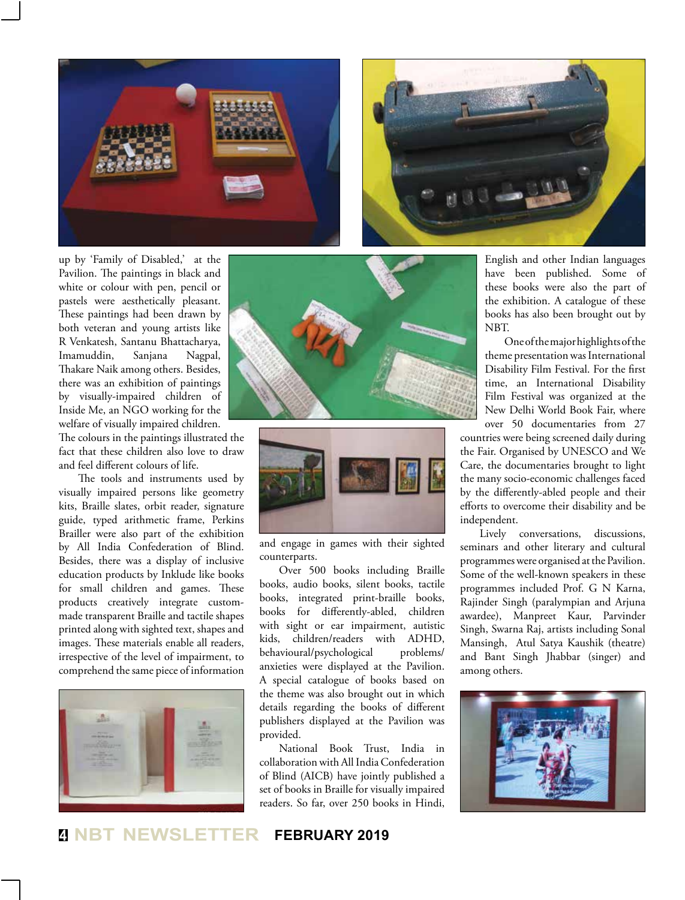



up by 'Family of Disabled,' at the Pavilion. The paintings in black and white or colour with pen, pencil or pastels were aesthetically pleasant. These paintings had been drawn by both veteran and young artists like R Venkatesh, Santanu Bhattacharya, Imamuddin, Sanjana Nagpal, Thakare Naik among others. Besides, there was an exhibition of paintings by visually-impaired children of Inside Me, an NGO working for the welfare of visually impaired children.

The colours in the paintings illustrated the fact that these children also love to draw and feel different colours of life.

The tools and instruments used by visually impaired persons like geometry kits, Braille slates, orbit reader, signature guide, typed arithmetic frame, Perkins Brailler were also part of the exhibition by All India Confederation of Blind. Besides, there was a display of inclusive education products by Inklude like books for small children and games. These products creatively integrate custommade transparent Braille and tactile shapes printed along with sighted text, shapes and images. These materials enable all readers, irrespective of the level of impairment, to comprehend the same piece of information







and engage in games with their sighted counterparts.

Over 500 books including Braille books, audio books, silent books, tactile books, integrated print-braille books, books for differently-abled, children with sight or ear impairment, autistic kids, children/readers with ADHD, behavioural/psychological problems/ anxieties were displayed at the Pavilion. A special catalogue of books based on the theme was also brought out in which details regarding the books of different publishers displayed at the Pavilion was provided.

National Book Trust, India in collaboration with All India Confederation of Blind (AICB) have jointly published a set of books in Braille for visually impaired readers. So far, over 250 books in Hindi,

English and other Indian languages have been published. Some of these books were also the part of the exhibition. A catalogue of these books has also been brought out by NBT.

One of the major highlights of the theme presentation was International Disability Film Festival. For the first time, an International Disability Film Festival was organized at the New Delhi World Book Fair, where over 50 documentaries from 27

countries were being screened daily during the Fair. Organised by UNESCO and We Care, the documentaries brought to light the many socio-economic challenges faced by the differently-abled people and their efforts to overcome their disability and be independent.

Lively conversations, discussions, seminars and other literary and cultural programmes were organised at the Pavilion. Some of the well-known speakers in these programmes included Prof. G N Karna, Rajinder Singh (paralympian and Arjuna awardee), Manpreet Kaur, Parvinder Singh, Swarna Raj, artists including Sonal Mansingh, Atul Satya Kaushik (theatre) and Bant Singh Jhabbar (singer) and among others.



#### **<sup>4</sup> NBT NEWSLETTER FEBRUARY 2019**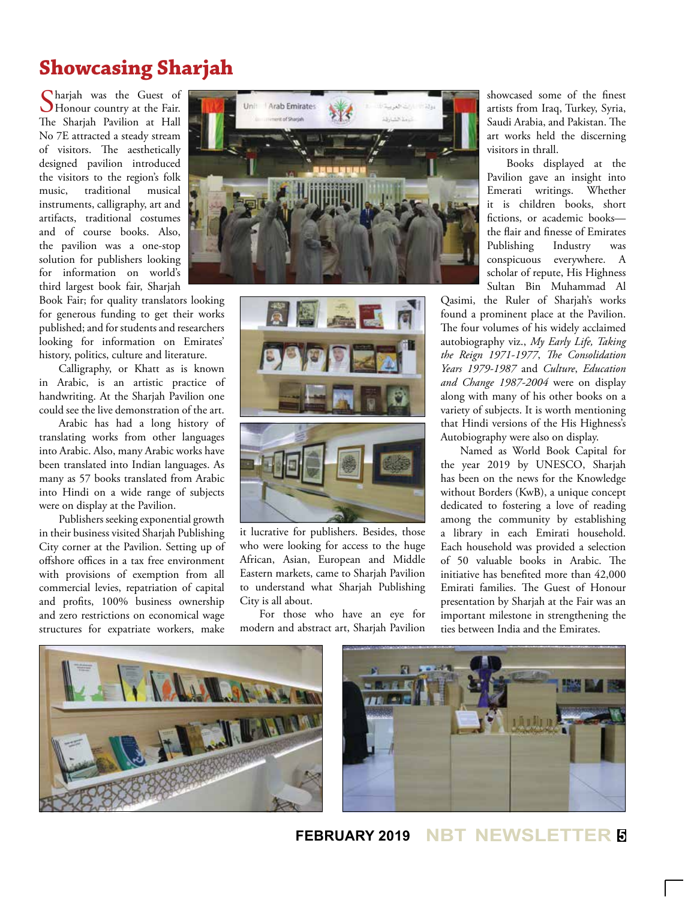## **Showcasing Sharjah**

Charjah was the Guest of Honour country at the Fair. The Sharjah Pavilion at Hall No 7E attracted a steady stream of visitors. The aesthetically designed pavilion introduced the visitors to the region's folk music, traditional musical instruments, calligraphy, art and artifacts, traditional costumes and of course books. Also, the pavilion was a one-stop solution for publishers looking for information on world's third largest book fair, Sharjah

Book Fair; for quality translators looking for generous funding to get their works published; and for students and researchers looking for information on Emirates' history, politics, culture and literature.

Calligraphy, or Khatt as is known in Arabic, is an artistic practice of handwriting. At the Sharjah Pavilion one could see the live demonstration of the art.

Arabic has had a long history of translating works from other languages into Arabic. Also, many Arabic works have been translated into Indian languages. As many as 57 books translated from Arabic into Hindi on a wide range of subjects were on display at the Pavilion.

Publishers seeking exponential growth in their business visited Sharjah Publishing City corner at the Pavilion. Setting up of offshore offices in a tax free environment with provisions of exemption from all commercial levies, repatriation of capital and profits, 100% business ownership and zero restrictions on economical wage structures for expatriate workers, make





it lucrative for publishers. Besides, those who were looking for access to the huge African, Asian, European and Middle Eastern markets, came to Sharjah Pavilion to understand what Sharjah Publishing City is all about.

For those who have an eye for modern and abstract art, Sharjah Pavilion

showcased some of the finest artists from Iraq, Turkey, Syria, Saudi Arabia, and Pakistan. The art works held the discerning visitors in thrall.

Books displayed at the Pavilion gave an insight into Emerati writings. Whether it is children books, short fictions, or academic books the flair and finesse of Emirates Publishing Industry was conspicuous everywhere. A scholar of repute, His Highness Sultan Bin Muhammad Al

Qasimi, the Ruler of Sharjah's works found a prominent place at the Pavilion. The four volumes of his widely acclaimed autobiography viz., *My Early Life, Taking the Reign 1971-1977*, *The Consolidation Years 1979-1987* and *Culture*, *Education and Change 1987-2004* were on display along with many of his other books on a variety of subjects. It is worth mentioning that Hindi versions of the His Highness's Autobiography were also on display.

Named as World Book Capital for the year 2019 by UNESCO, Sharjah has been on the news for the Knowledge without Borders (KwB), a unique concept dedicated to fostering a love of reading among the community by establishing a library in each Emirati household. Each household was provided a selection of 50 valuable books in Arabic. The initiative has benefited more than 42,000 Emirati families. The Guest of Honour presentation by Sharjah at the Fair was an important milestone in strengthening the ties between India and the Emirates.



#### **FEBRUARY 2019 NBT NEWSLETTER <sup>5</sup>**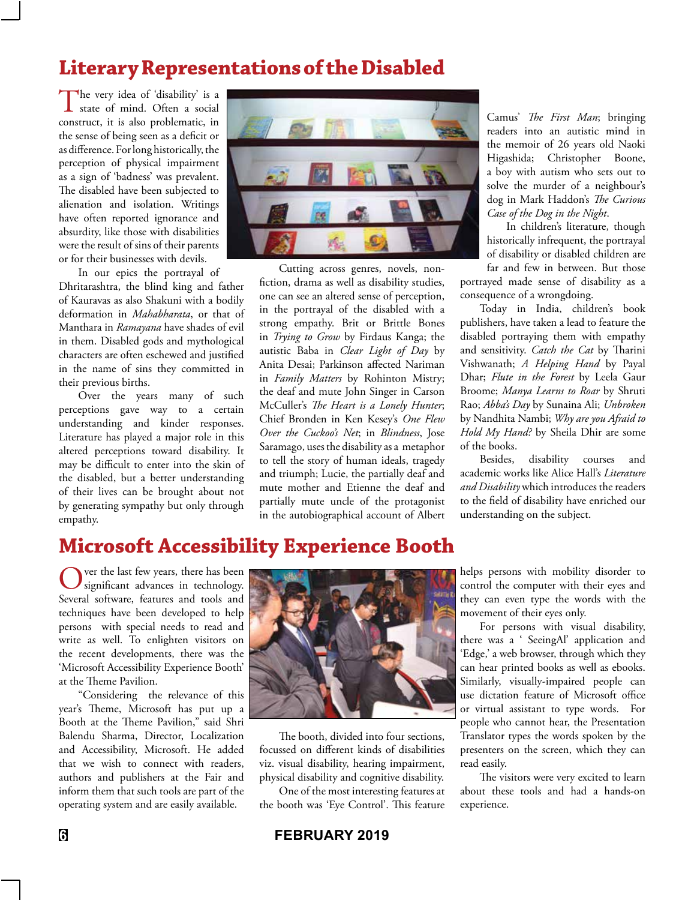# **Literary Representations of the Disabled**

The very idea of 'disability' is a I state of mind. Often a social construct, it is also problematic, in the sense of being seen as a deficit or as difference. For long historically, the perception of physical impairment as a sign of 'badness' was prevalent. The disabled have been subjected to alienation and isolation. Writings have often reported ignorance and absurdity, like those with disabilities were the result of sins of their parents or for their businesses with devils.

In our epics the portrayal of

Dhritarashtra, the blind king and father of Kauravas as also Shakuni with a bodily deformation in *Mahabharata*, or that of Manthara in *Ramayana* have shades of evil in them. Disabled gods and mythological characters are often eschewed and justified in the name of sins they committed in their previous births.

Over the years many of such perceptions gave way to a certain understanding and kinder responses. Literature has played a major role in this altered perceptions toward disability. It may be difficult to enter into the skin of the disabled, but a better understanding of their lives can be brought about not by generating sympathy but only through empathy.



Cutting across genres, novels, nonfiction, drama as well as disability studies, one can see an altered sense of perception, in the portrayal of the disabled with a strong empathy. Brit or Brittle Bones in *Trying to Grow* by Firdaus Kanga; the autistic Baba in *Clear Light of Day* by Anita Desai; Parkinson affected Nariman in *Family Matters* by Rohinton Mistry; the deaf and mute John Singer in Carson McCuller's *The Heart is a Lonely Hunter*; Chief Bronden in Ken Kesey's *One Flew Over the Cuckoo's Net*; in *Blindness*, Jose Saramago, uses the disability as a metaphor to tell the story of human ideals, tragedy and triumph; Lucie, the partially deaf and mute mother and Etienne the deaf and partially mute uncle of the protagonist in the autobiographical account of Albert Camus' *The First Man*; bringing readers into an autistic mind in the memoir of 26 years old Naoki Higashida; Christopher Boone, a boy with autism who sets out to solve the murder of a neighbour's dog in Mark Haddon's *The Curious Case of the Dog in the Night*.

In children's literature, though historically infrequent, the portrayal of disability or disabled children are

far and few in between. But those portrayed made sense of disability as a consequence of a wrongdoing.

Today in India, children's book publishers, have taken a lead to feature the disabled portraying them with empathy and sensitivity. *Catch the Cat* by Tharini Vishwanath; *A Helping Hand* by Payal Dhar; *Flute in the Forest* by Leela Gaur Broome; *Manya Learns to Roar* by Shruti Rao; *Abba's Day* by Sunaina Ali; *Unbroken* by Nandhita Nambi; *Why are you Afraid to Hold My Hand?* by Sheila Dhir are some of the books.

Besides, disability courses and academic works like Alice Hall's *Literature and Disability* which introduces the readers to the field of disability have enriched our understanding on the subject.

#### **Microsoft Accessibility Experience Booth**

ver the last few years, there has been significant advances in technology. Several software, features and tools and techniques have been developed to help persons with special needs to read and write as well. To enlighten visitors on the recent developments, there was the 'Microsoft Accessibility Experience Booth' at the Theme Pavilion.

"Considering the relevance of this year's Theme, Microsoft has put up a Booth at the Theme Pavilion," said Shri Balendu Sharma, Director, Localization and Accessibility, Microsoft. He added that we wish to connect with readers, authors and publishers at the Fair and inform them that such tools are part of the operating system and are easily available.



The booth, divided into four sections, focussed on different kinds of disabilities viz. visual disability, hearing impairment, physical disability and cognitive disability.

One of the most interesting features at the booth was 'Eye Control'. This feature

helps persons with mobility disorder to control the computer with their eyes and they can even type the words with the movement of their eyes only.

For persons with visual disability, there was a ' SeeingAl' application and 'Edge,' a web browser, through which they can hear printed books as well as ebooks. Similarly, visually-impaired people can use dictation feature of Microsoft office or virtual assistant to type words. For people who cannot hear, the Presentation Translator types the words spoken by the presenters on the screen, which they can read easily.

The visitors were very excited to learn about these tools and had a hands-on experience.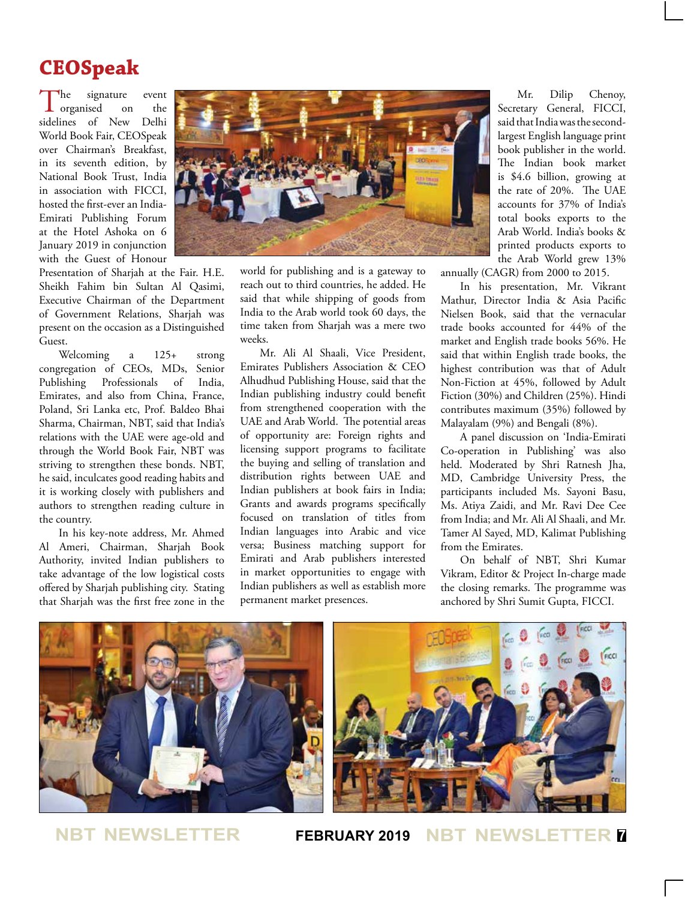# **CEOSpeak**

The signature event<br>organised on the  $\perp$  organised sidelines of New Delhi World Book Fair, CEOSpeak over Chairman's Breakfast, in its seventh edition, by National Book Trust, India in association with FICCI, hosted the first-ever an India-Emirati Publishing Forum at the Hotel Ashoka on 6 January 2019 in conjunction with the Guest of Honour

Presentation of Sharjah at the Fair. H.E. Sheikh Fahim bin Sultan Al Qasimi, Executive Chairman of the Department of Government Relations, Sharjah was present on the occasion as a Distinguished Guest.

Welcoming a 125+ strong congregation of CEOs, MDs, Senior Publishing Professionals of India, Emirates, and also from China, France, Poland, Sri Lanka etc, Prof. Baldeo Bhai Sharma, Chairman, NBT, said that India's relations with the UAE were age-old and through the World Book Fair, NBT was striving to strengthen these bonds. NBT, he said, inculcates good reading habits and it is working closely with publishers and authors to strengthen reading culture in the country.

In his key-note address, Mr. Ahmed Al Ameri, Chairman, Sharjah Book Authority, invited Indian publishers to take advantage of the low logistical costs offered by Sharjah publishing city. Stating that Sharjah was the first free zone in the



world for publishing and is a gateway to reach out to third countries, he added. He said that while shipping of goods from India to the Arab world took 60 days, the time taken from Sharjah was a mere two weeks.

Mr. Ali Al Shaali, Vice President, Emirates Publishers Association & CEO Alhudhud Publishing House, said that the Indian publishing industry could benefit from strengthened cooperation with the UAE and Arab World. The potential areas of opportunity are: Foreign rights and licensing support programs to facilitate the buying and selling of translation and distribution rights between UAE and Indian publishers at book fairs in India; Grants and awards programs specifically focused on translation of titles from Indian languages into Arabic and vice versa; Business matching support for Emirati and Arab publishers interested in market opportunities to engage with Indian publishers as well as establish more permanent market presences.

Mr. Dilip Chenoy, Secretary General, FICCI, said that India was the secondlargest English language print book publisher in the world. The Indian book market is \$4.6 billion, growing at the rate of 20%. The UAE accounts for 37% of India's total books exports to the Arab World. India's books & printed products exports to the Arab World grew 13%

annually (CAGR) from 2000 to 2015.

In his presentation, Mr. Vikrant Mathur, Director India & Asia Pacific Nielsen Book, said that the vernacular trade books accounted for 44% of the market and English trade books 56%. He said that within English trade books, the highest contribution was that of Adult Non-Fiction at 45%, followed by Adult Fiction (30%) and Children (25%). Hindi contributes maximum (35%) followed by Malayalam (9%) and Bengali (8%).

A panel discussion on 'India-Emirati Co-operation in Publishing' was also held. Moderated by Shri Ratnesh Jha, MD, Cambridge University Press, the participants included Ms. Sayoni Basu, Ms. Atiya Zaidi, and Mr. Ravi Dee Cee from India; and Mr. Ali Al Shaali, and Mr. Tamer Al Sayed, MD, Kalimat Publishing from the Emirates.

On behalf of NBT, Shri Kumar Vikram, Editor & Project In-charge made the closing remarks. The programme was anchored by Shri Sumit Gupta, FICCI.

Ficci



**NBT NEWSLETTER FEBRUARY 2019 NBT NEWSLETTER <sup>7</sup>**